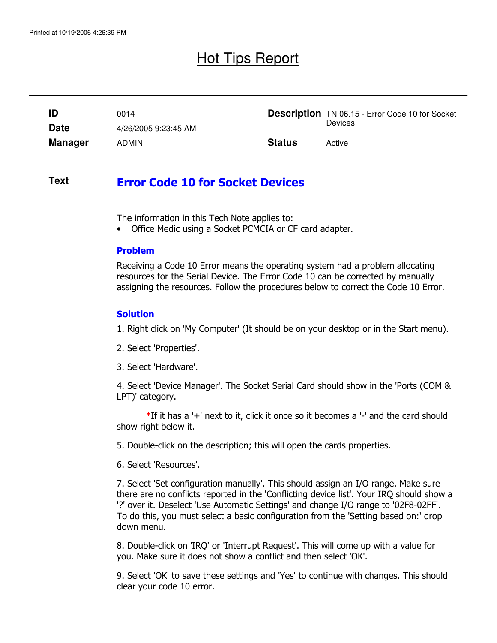## Hot Tips Report

|                | 0014                 |               | <b>Description</b> TN 06.15 - Error Code 10 for Socket |
|----------------|----------------------|---------------|--------------------------------------------------------|
| <b>Date</b>    | 4/26/2005 9:23:45 AM |               | Devices                                                |
| <b>Manager</b> | <b>ADMIN</b>         | <b>Status</b> | Active                                                 |

#### Error Code 10 for Socket Devices **Text**

The information in this Tech Note applies to:

• Office Medic using a Socket PCMCIA or CF card adapter.

#### Problem

Receiving a Code 10 Error means the operating system had a problem allocating resources for the Serial Device. The Error Code 10 can be corrected by manually assigning the resources. Follow the procedures below to correct the Code 10 Error.

### **Solution**

1. Right click on 'My Computer' (It should be on your desktop or in the Start menu).

- 2. Select 'Properties'.
- 3. Select 'Hardware'.

4. Select 'Device Manager'. The Socket Serial Card should show in the 'Ports (COM & LPT)' category.

\*If it has a '+' next to it, click it once so it becomes a '-' and the card should show right below it.

5. Double-click on the description; this will open the cards properties.

6. Select 'Resources'.

7. Select 'Set configuration manually'. This should assign an I/O range. Make sure there are no conflicts reported in the 'Conflicting device list'. Your IRQ should show a '?' over it. Deselect 'Use Automatic Settings' and change I/O range to '02F8-02FF'. To do this, you must select a basic configuration from the 'Setting based on:' drop down menu.

8. Double-click on 'IRQ' or 'Interrupt Request'. This will come up with a value for you. Make sure it does not show a conflict and then select 'OK'.

9. Select 'OK' to save these settings and 'Yes' to continue with changes. This should clear your code 10 error.